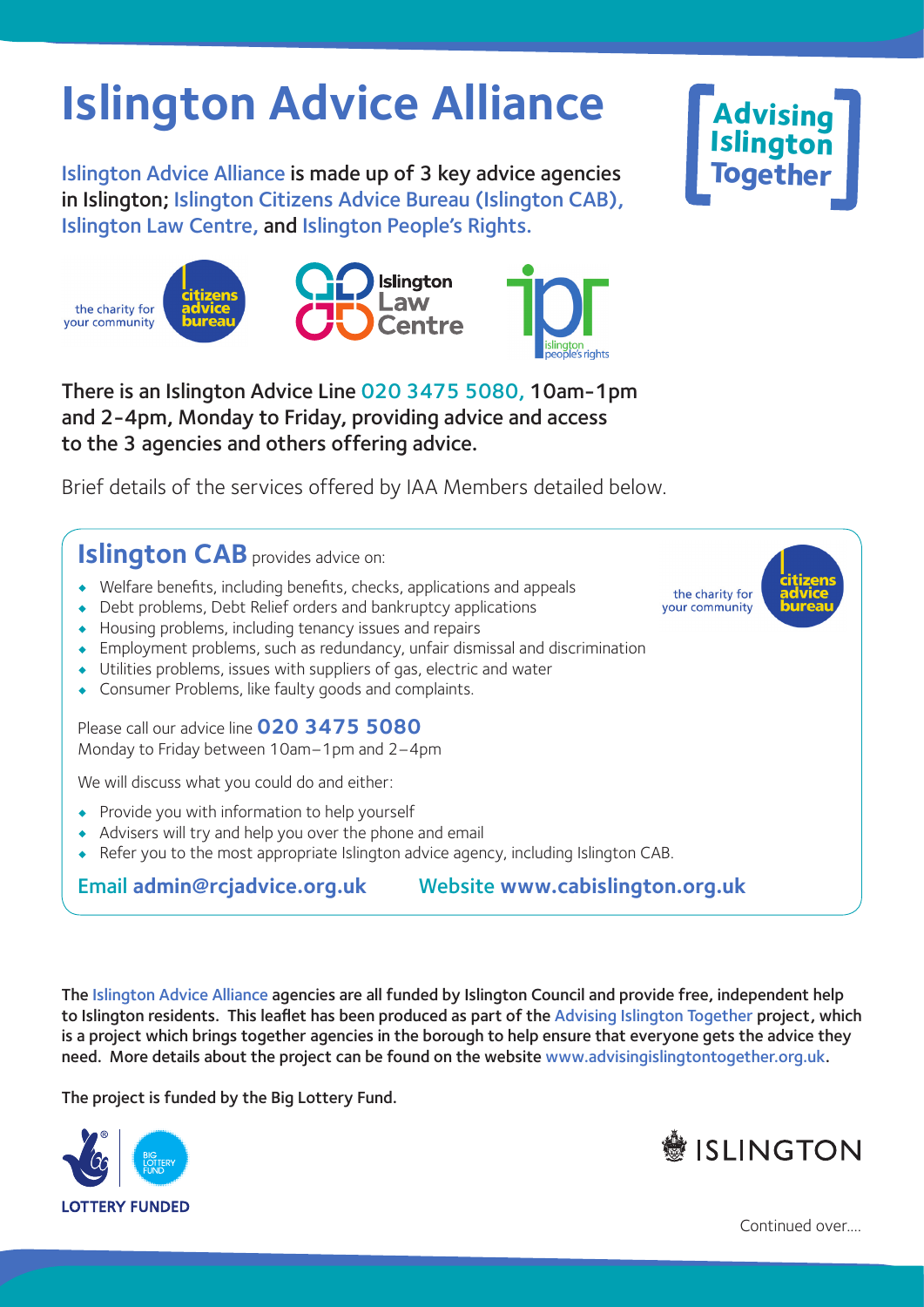## **Islington Advice Alliance**

Islington Advice Alliance is made up of 3 key advice agencies in Islington; Islington Citizens Advice Bureau (Islington CAB), Islington Law Centre, and Islington People's Rights.







There is an Islington Advice Line 020 3475 5080, 10am-1pm and 2-4pm, Monday to Friday, providing advice and access to the 3 agencies and others offering advice.

Brief details of the services offered by IAA Members detailed below.

**Islington CAB** provides advice on:

- Welfare benefits, including benefits, checks, applications and appeals
- Debt problems, Debt Relief orders and bankruptcy applications
- Housing problems, including tenancy issues and repairs
- Employment problems, such as redundancy, unfair dismissal and discrimination
- Utilities problems, issues with suppliers of gas, electric and water
- Consumer Problems, like faulty goods and complaints.

Please call our advice line **020 3475 5080** Monday to Friday between 10am–1pm and 2–4pm

We will discuss what you could do and either:

- Provide you with information to help yourself
- Advisers will try and help you over the phone and email
- Refer you to the most appropriate Islington advice agency, including Islington CAB.

Email **admin@rcjadvice.org.uk** Website **www.cabislington.org.uk**

The Islington Advice Alliance agencies are all funded by Islington Council and provide free, independent help to Islington residents. This leaflet has been produced as part of the Advising Islington Together project, which is a project which brings together agencies in the borough to help ensure that everyone gets the advice they need. More details about the project can be found on the website www.advisingislingtontogether.org.uk.

The project is funded by the Big Lottery Fund.





**Advising Islington**

**Together**

the charity for vour community

Continued over....